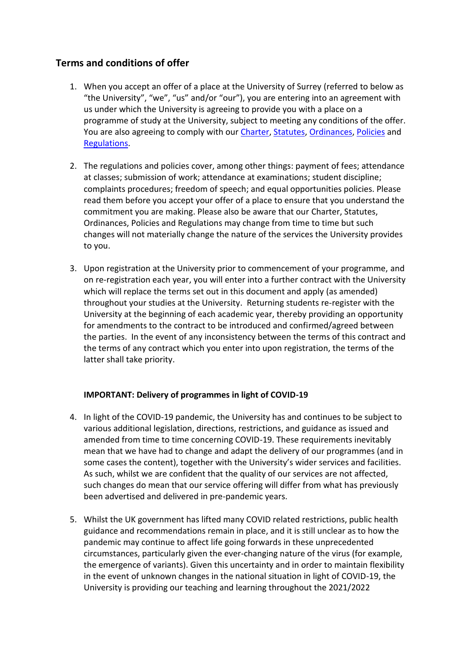# **Terms and conditions of offer**

- 1. When you accept an offer of a place at the University of Surrey (referred to below as "the University", "we", "us" and/or "our"), you are entering into an agreement with us under which the University is agreeing to provide you with a place on a programme of study at the University, subject to meeting any conditions of the offer. You are also agreeing to comply with our [Charter, Statutes, Ordinances,](https://www.surrey.ac.uk/about/governance/university-charter-statutes-ordinances) [Policies](https://www.surrey.ac.uk/about/policies) and [Regulations.](https://www.surrey.ac.uk/quality-enhancement-standards/regulations)
- 2. The regulations and policies cover, among other things: payment of fees; attendance at classes; submission of work; attendance at examinations; student discipline; complaints procedures; freedom of speech; and equal opportunities policies. Please read them before you accept your offer of a place to ensure that you understand the commitment you are making. Please also be aware that our Charter, Statutes, Ordinances, Policies and Regulations may change from time to time but such changes will not materially change the nature of the services the University provides to you.
- 3. Upon registration at the University prior to commencement of your programme, and on re-registration each year, you will enter into a further contract with the University which will replace the terms set out in this document and apply (as amended) throughout your studies at the University. Returning students re-register with the University at the beginning of each academic year, thereby providing an opportunity for amendments to the contract to be introduced and confirmed/agreed between the parties. In the event of any inconsistency between the terms of this contract and the terms of any contract which you enter into upon registration, the terms of the latter shall take priority.

# **IMPORTANT: Delivery of programmes in light of COVID-19**

- 4. In light of the COVID-19 pandemic, the University has and continues to be subject to various additional legislation, directions, restrictions, and guidance as issued and amended from time to time concerning COVID-19. These requirements inevitably mean that we have had to change and adapt the delivery of our programmes (and in some cases the content), together with the University's wider services and facilities. As such, whilst we are confident that the quality of our services are not affected, such changes do mean that our service offering will differ from what has previously been advertised and delivered in pre-pandemic years.
- 5. Whilst the UK government has lifted many COVID related restrictions, public health guidance and recommendations remain in place, and it is still unclear as to how the pandemic may continue to affect life going forwards in these unprecedented circumstances, particularly given the ever-changing nature of the virus (for example, the emergence of variants). Given this uncertainty and in order to maintain flexibility in the event of unknown changes in the national situation in light of COVID-19, the University is providing our teaching and learning throughout the 2021/2022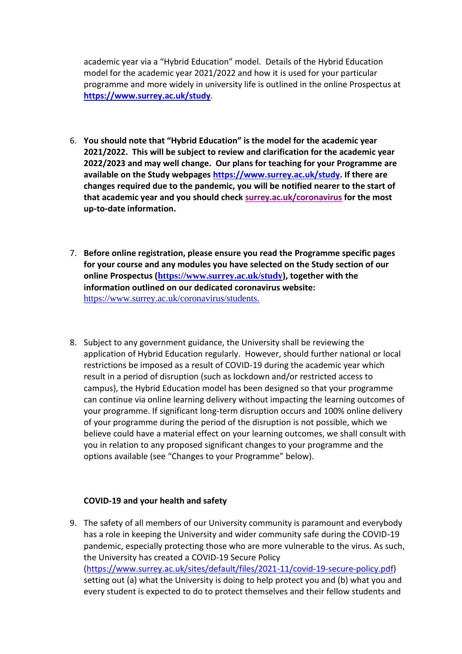academic year via a "Hybrid Education" model. Details of the Hybrid Education model for the academic year 2021/2022 and how it is used for your particular programme and more widely in university life is outlined in the online Prospectus at **<https://www.surrey.ac.uk/study>**.

- 6. **You should note that "Hybrid Education" is the model for the academic year 2021/2022. This will be subject to review and clarification for the academic year 2022/2023 and may well change. Our plans for teaching for your Programme are available on the Study webpages [https://www.surrey.ac.uk/study.](https://www.surrey.ac.uk/study) If there are changes required due to the pandemic, you will be notified nearer to the start of that academic year and you should check [surrey.ac.uk/coronavirus](https://www.surrey.ac.uk/coronavirus) for the most up-to-date information.**
- 7. **Before online registration, please ensure you read the Programme specific pages for your course and any modules you have selected on the Study section of our online Prospectus (<https://www.surrey.ac.uk/study>), together with the information outlined on our dedicated coronavirus website:**  [https://www.surrey.ac.uk/coronavirus/students.](https://www.surrey.ac.uk/coronavirus/students)
- 8. Subject to any government guidance, the University shall be reviewing the application of Hybrid Education regularly. However, should further national or local restrictions be imposed as a result of COVID-19 during the academic year which result in a period of disruption (such as lockdown and/or restricted access to campus), the Hybrid Education model has been designed so that your programme can continue via online learning delivery without impacting the learning outcomes of your programme. If significant long-term disruption occurs and 100% online delivery of your programme during the period of the disruption is not possible, which we believe could have a material effect on your learning outcomes, we shall consult with you in relation to any proposed significant changes to your programme and the options available (see "Changes to your Programme" below).

#### **COVID-19 and your health and safety**

9. The safety of all members of our University community is paramount and everybody has a role in keeping the University and wider community safe during the COVID-19 pandemic, especially protecting those who are more vulnerable to the virus. As such, the University has created a [COVID-19 Secure Policy](file:///C:/Users/le0011/AppData/Local/Microsoft/Windows/INetCache/Content.Outlook/YA7SFU1F/%5bhttps:/www.surrey.ac.uk/sites/default/files/2021-05/covid-19-secure-policy.pdf%5d) [\(https://www.surrey.ac.uk/sites/default/files/2021-11/covid-19-secure-policy.pdf\)](https://www.surrey.ac.uk/sites/default/files/2021-11/covid-19-secure-policy.pdf) setting out (a) what the University is doing to help protect you and (b) what you and every student is expected to do to protect themselves and their fellow students and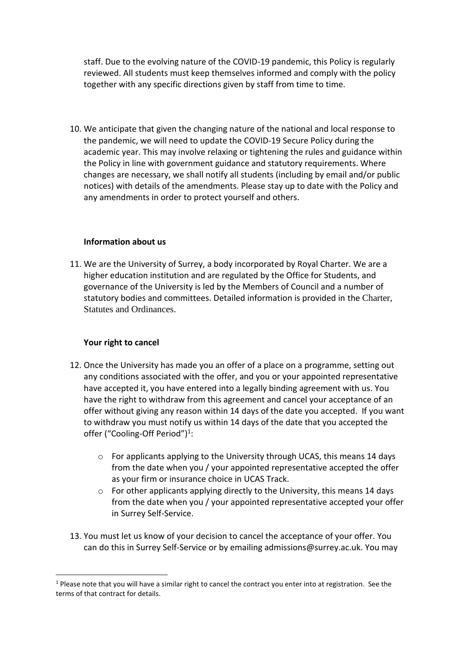staff. Due to the evolving nature of the COVID-19 pandemic, this Policy is regularly reviewed. All students must keep themselves informed and comply with the policy together with any specific directions given by staff from time to time.

10. We anticipate that given the changing nature of the national and local response to the pandemic, we will need to update the COVID-19 Secure Policy during the academic year. This may involve relaxing or tightening the rules and guidance within the Policy in line with government guidance and statutory requirements. Where changes are necessary, we shall notify all students (including by email and/or public notices) with details of the amendments. Please stay up to date with the Policy and any amendments in order to protect yourself and others.

### **Information about us**

11. We are the University of Surrey, a body incorporated by Royal Charter. We are a higher education institution and are regulated by the Office for Students, and governance of the University is led by the Members of Council and a number of statutory bodies and committees. Detailed information is provided in the [Charter,](https://www.surrey.ac.uk/about/governance/university-charter-statutes-ordinances/)  [Statutes and Ordinances.](https://www.surrey.ac.uk/about/governance/university-charter-statutes-ordinances/)

# **Your right to cancel**

- 12. Once the University has made you an offer of a place on a programme, setting out any conditions associated with the offer, and you or your appointed representative have accepted it, you have entered into a legally binding agreement with us. You have the right to withdraw from this agreement and cancel your acceptance of an offer without giving any reason within 14 days of the date you accepted. If you want to withdraw you must notify us within 14 days of the date that you accepted the offer ("Cooling-Off Period")<sup>1</sup>:
	- o For applicants applying to the University through UCAS, this means 14 days from the date when you / your appointed representative accepted the offer as your firm or insurance choice in UCAS Track.
	- o For other applicants applying directly to the University, this means 14 days from the date when you / your appointed representative accepted your offer in Surrey Self-Service.
- 13. You must let us know of your decision to cancel the acceptance of your offer. You can do this in Surrey Self-Service or by emailing admissions@surrey.ac.uk. You may

 $1$  Please note that you will have a similar right to cancel the contract you enter into at registration. See the terms of that contract for details.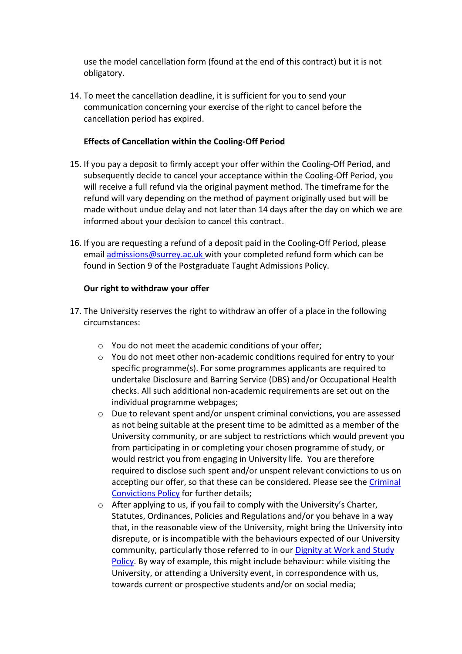use the model cancellation form (found at the end of this contract) but it is not obligatory.

14. To meet the cancellation deadline, it is sufficient for you to send your communication concerning your exercise of the right to cancel before the cancellation period has expired.

### **Effects of Cancellation within the Cooling-Off Period**

- 15. If you pay a deposit to firmly accept your offer within the Cooling-Off Period, and subsequently decide to cancel your acceptance within the Cooling-Off Period, you will receive a full refund via the original payment method. The timeframe for the refund will vary depending on the method of payment originally used but will be made without undue delay and not later than 14 days after the day on which we are informed about your decision to cancel this contract.
- 16. If you are requesting a refund of a deposit paid in the Cooling-Off Period, please email [admissions@surrey.ac.uk](mailto:admissions@surrey.ac.uk) with your completed refund form which can be found in Section 9 [of the Postgraduate Taught Admissions Policy.](https://www.surrey.ac.uk/apply/policies/postgraduate-admissions-policy)

### **Our right to withdraw your offer**

- 17. The University reserves the right to withdraw an offer of a place in the following circumstances:
	- o You do not meet the academic conditions of your offer;
	- $\circ$  You do not meet other non-academic conditions required for entry to your specific programme(s). For some programmes applicants are required to undertake Disclosure and Barring Service (DBS) and/or Occupational Health checks. All such additional non-academic requirements are set out on the individual programme webpages;
	- $\circ$  Due to relevant spent and/or unspent criminal convictions, you are assessed as not being suitable at the present time to be admitted as a member of the University community, or are subject to restrictions which would prevent you from participating in or completing your chosen programme of study, or would restrict you from engaging in University life. You are therefore required to disclose such spent and/or unspent relevant convictions to us on accepting our offer, so that these can be considered. Please see th[e Criminal](https://www.surrey.ac.uk/declaration-criminal-convictions)  [Convictions Policy](https://www.surrey.ac.uk/declaration-criminal-convictions) for further details;
	- o After applying to us, if you fail to comply with the University's Charter, Statutes, Ordinances, Policies and Regulations and/or you behave in a way that, in the reasonable view of the University, might bring the University into disrepute, or is incompatible with the behaviours expected of our University community, particularly those referred to in our [Dignity at Work and Study](https://www.surrey.ac.uk/about/policies)  [Policy.](https://www.surrey.ac.uk/about/policies) By way of example, this might include behaviour: while visiting the University, or attending a University event, in correspondence with us, towards current or prospective students and/or on social media;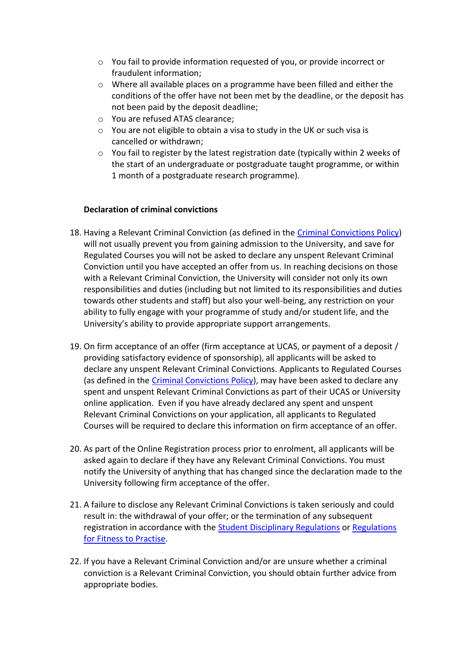- o You fail to provide information requested of you, or provide incorrect or fraudulent information;
- $\circ$  Where all available places on a programme have been filled and either the conditions of the offer have not been met by the deadline, or the deposit has not been paid by the deposit deadline;
- o You are refused ATAS clearance;
- o You are not eligible to obtain a visa to study in the UK or such visa is cancelled or withdrawn;
- o You fail to register by the latest registration date (typically within 2 weeks of the start of an undergraduate or postgraduate taught programme, or within 1 month of a postgraduate research programme).

# **Declaration of criminal convictions**

- 18. Having a Relevant Criminal Conviction (as defined in the [Criminal Convictions Policy\)](https://www.surrey.ac.uk/declaration-criminal-convictions) will not usually prevent you from gaining admission to the University, and save for Regulated Courses you will not be asked to declare any unspent Relevant Criminal Conviction until you have accepted an offer from us. In reaching decisions on those with a Relevant Criminal Conviction, the University will consider not only its own responsibilities and duties (including but not limited to its responsibilities and duties towards other students and staff) but also your well-being, any restriction on your ability to fully engage with your programme of study and/or student life, and the University's ability to provide appropriate support arrangements.
- 19. On firm acceptance of an offer (firm acceptance at UCAS, or payment of a deposit / providing satisfactory evidence of sponsorship), all applicants will be asked to declare any unspent Relevant Criminal Convictions. Applicants to Regulated Courses (as defined in the [Criminal Convictions](https://www.surrey.ac.uk/declaration-criminal-convictions) Policy), may have been asked to declare any spent and unspent Relevant Criminal Convictions as part of their UCAS or University online application. Even if you have already declared any spent and unspent Relevant Criminal Convictions on your application, all applicants to Regulated Courses will be required to declare this information on firm acceptance of an offer.
- 20. As part of the Online Registration process prior to enrolment, all applicants will be asked again to declare if they have any Relevant Criminal Convictions. You must notify the University of anything that has changed since the declaration made to the University following firm acceptance of the offer.
- 21. A failure to disclose any Relevant Criminal Convictions is taken seriously and could result in: the withdrawal of your offer; or the termination of any subsequent registration in accordance with the [Student Disciplinary Regulations](http://www.surrey.ac.uk/oscar) or [Regulations](http://www.surrey.ac.uk/oscar)  [for Fitness to Practise.](http://www.surrey.ac.uk/oscar)
- 22. If you have a Relevant Criminal Conviction and/or are unsure whether a criminal conviction is a Relevant Criminal Conviction, you should obtain further advice from appropriate bodies.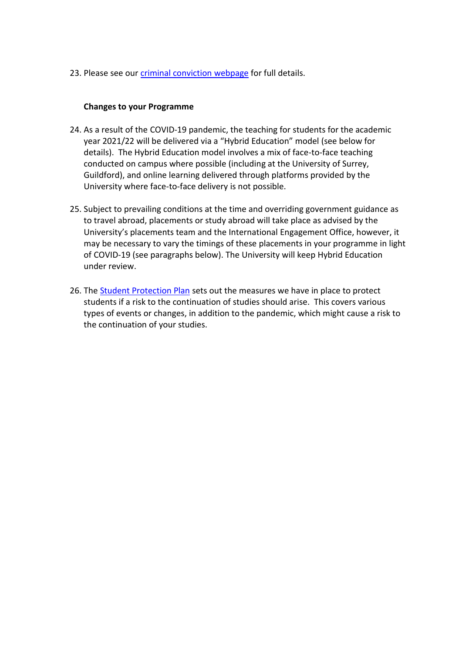23. Please see our [criminal conviction](https://www.surrey.ac.uk/declaration-criminal-convictions) webpage for full details.

### **Changes to your Programme**

- 24. As a result of the COVID-19 pandemic, the teaching for students for the academic year 2021/22 will be delivered via a "Hybrid Education" model (see below for details). The Hybrid Education model involves a mix of face-to-face teaching conducted on campus where possible (including at the University of Surrey, Guildford), and online learning delivered through platforms provided by the University where face-to-face delivery is not possible.
- 25. Subject to prevailing conditions at the time and overriding government guidance as to travel abroad, placements or study abroad will take place as advised by the University's placements team and the International Engagement Office, however, it may be necessary to vary the timings of these placements in your programme in light of COVID-19 (see paragraphs below). The University will keep Hybrid Education under review.
- 26. The [Student Protection Plan](https://study.surrey.ac.uk/student-protection-plan-introduction) sets out the measures we have in place to protect students if a risk to the continuation of studies should arise. This covers various types of events or changes, in addition to the pandemic, which might cause a risk to the continuation of your studies.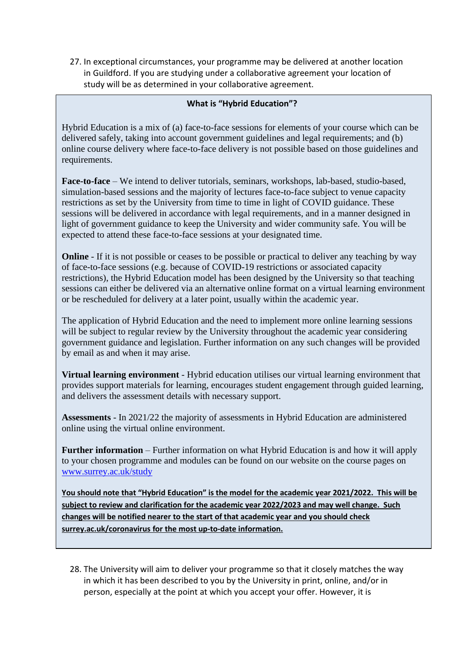27. In exceptional circumstances, your programme may be delivered at another location in Guildford. If you are studying under a collaborative agreement your location of study will be as determined in your collaborative agreement.

### **What is "Hybrid Education"?**

Hybrid Education is a mix of (a) face-to-face sessions for elements of your course which can be delivered safely, taking into account government guidelines and legal requirements; and (b) online course delivery where face-to-face delivery is not possible based on those guidelines and requirements.

**Face-to-face** – We intend to deliver tutorials, seminars, workshops, lab-based, studio-based, simulation-based sessions and the majority of lectures face-to-face subject to venue capacity restrictions as set by the University from time to time in light of COVID guidance. These sessions will be delivered in accordance with legal requirements, and in a manner designed in light of government guidance to keep the University and wider community safe. You will be expected to attend these face-to-face sessions at your designated time.

**Online** - If it is not possible or ceases to be possible or practical to deliver any teaching by way of face-to-face sessions (e.g. because of COVID-19 restrictions or associated capacity restrictions), the Hybrid Education model has been designed by the University so that teaching sessions can either be delivered via an alternative online format on a virtual learning environment or be rescheduled for delivery at a later point, usually within the academic year.

The application of Hybrid Education and the need to implement more online learning sessions will be subject to regular review by the University throughout the academic year considering government guidance and legislation. Further information on any such changes will be provided by email as and when it may arise.

**Virtual learning environment** - Hybrid education utilises our virtual learning environment that provides support materials for learning, encourages student engagement through guided learning, and delivers the assessment details with necessary support.

**Assessments** - In 2021/22 the majority of assessments in Hybrid Education are administered online using the virtual online environment.

**Further information** – Further information on what Hybrid Education is and how it will apply to your chosen programme and modules can be found on our website on the course pages on [www.surrey.ac.uk/study](http://www.surrey.ac.uk/study)

**You should note that "Hybrid Education" is the model for the academic year 2021/2022. This will be subject to review and clarification for the academic year 2022/2023 and may well change. Such changes will be notified nearer to the start of that academic year and you should check surrey.ac.uk/coronavirus for the most up-to-date information.**

28. The University will aim to deliver your programme so that it closely matches the way in which it has been described to you by the University in print, online, and/or in person, especially at the point at which you accept your offer. However, it is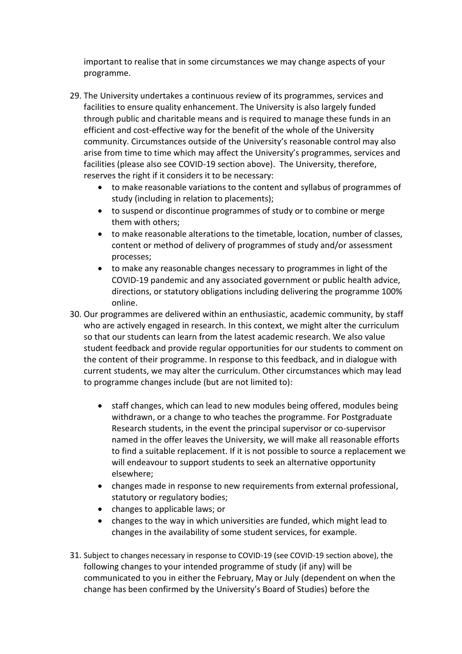important to realise that in some circumstances we may change aspects of your programme.

- 29. The University undertakes a continuous review of its programmes, services and facilities to ensure quality enhancement. The University is also largely funded through public and charitable means and is required to manage these funds in an efficient and cost-effective way for the benefit of the whole of the University community. Circumstances outside of the University's reasonable control may also arise from time to time which may affect the University's programmes, services and facilities (please also see COVID-19 section above). The University, therefore, reserves the right if it considers it to be necessary:
	- to make reasonable variations to the content and syllabus of programmes of study (including in relation to placements);
	- to suspend or discontinue programmes of study or to combine or merge them with others;
	- to make reasonable alterations to the timetable, location, number of classes, content or method of delivery of programmes of study and/or assessment processes;
	- to make any reasonable changes necessary to programmes in light of the COVID-19 pandemic and any associated government or public health advice, directions, or statutory obligations including delivering the programme 100% online.
- 30. Our programmes are delivered within an enthusiastic, academic community, by staff who are actively engaged in research. In this context, we might alter the curriculum so that our students can learn from the latest academic research. We also value student feedback and provide regular opportunities for our students to comment on the content of their programme. In response to this feedback, and in dialogue with current students, we may alter the curriculum. Other circumstances which may lead to programme changes include (but are not limited to):
	- staff changes, which can lead to new modules being offered, modules being withdrawn, or a change to who teaches the programme. For Postgraduate Research students, in the event the principal supervisor or co-supervisor named in the offer leaves the University, we will make all reasonable efforts to find a suitable replacement. If it is not possible to source a replacement we will endeavour to support students to seek an alternative opportunity elsewhere;
	- changes made in response to new requirements from external professional, statutory or regulatory bodies;
	- changes to applicable laws; or
	- changes to the way in which universities are funded, which might lead to changes in the availability of some student services, for example.
- 31. Subject to changes necessary in response to COVID-19 (see COVID-19 section above), the following changes to your intended programme of study (if any) will be communicated to you in either the February, May or July (dependent on when the change has been confirmed by the University's Board of Studies) before the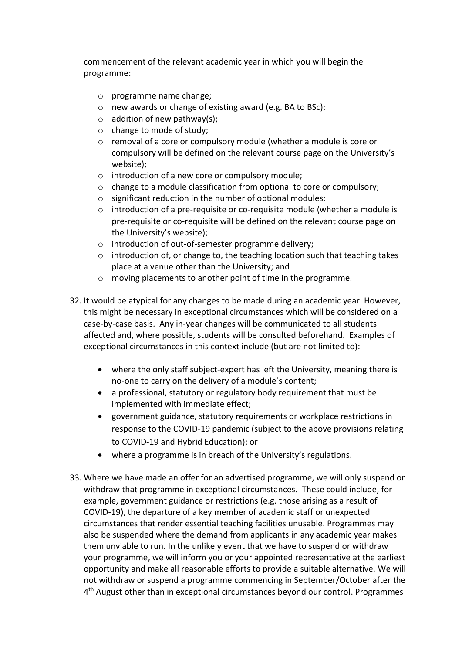commencement of the relevant academic year in which you will begin the programme:

- o programme name change;
- o new awards or change of existing award (e.g. BA to BSc);
- $\circ$  addition of new pathway(s);
- o change to mode of study;
- o removal of a core or compulsory module (whether a module is core or compulsory will be defined on the relevant course page on the University's website);
- o introduction of a new core or compulsory module;
- $\circ$  change to a module classification from optional to core or compulsory;
- o significant reduction in the number of optional modules;
- o introduction of a pre-requisite or co-requisite module (whether a module is pre-requisite or co-requisite will be defined on the relevant course page on the University's website);
- o introduction of out-of-semester programme delivery;
- $\circ$  introduction of, or change to, the teaching location such that teaching takes place at a venue other than the University; and
- o moving placements to another point of time in the programme.
- 32. It would be atypical for any changes to be made during an academic year. However, this might be necessary in exceptional circumstances which will be considered on a case-by-case basis. Any in-year changes will be communicated to all students affected and, where possible, students will be consulted beforehand. Examples of exceptional circumstances in this context include (but are not limited to):
	- where the only staff subject-expert has left the University, meaning there is no-one to carry on the delivery of a module's content;
	- a professional, statutory or regulatory body requirement that must be implemented with immediate effect;
	- government guidance, statutory requirements or workplace restrictions in response to the COVID-19 pandemic (subject to the above provisions relating to COVID-19 and Hybrid Education); or
	- where a programme is in breach of the University's regulations.
- 33. Where we have made an offer for an advertised programme, we will only suspend or withdraw that programme in exceptional circumstances. These could include, for example, government guidance or restrictions (e.g. those arising as a result of COVID-19), the departure of a key member of academic staff or unexpected circumstances that render essential teaching facilities unusable. Programmes may also be suspended where the demand from applicants in any academic year makes them unviable to run. In the unlikely event that we have to suspend or withdraw your programme, we will inform you or your appointed representative at the earliest opportunity and make all reasonable efforts to provide a suitable alternative. We will not withdraw or suspend a programme commencing in September/October after the 4<sup>th</sup> August other than in exceptional circumstances beyond our control. Programmes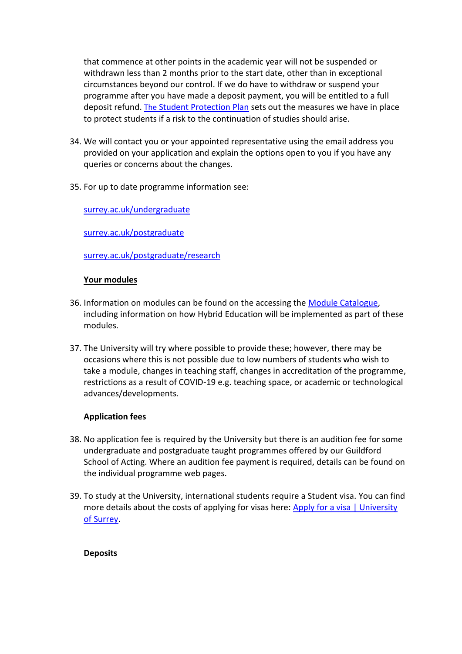that commence at other points in the academic year will not be suspended or withdrawn less than 2 months prior to the start date, other than in exceptional circumstances beyond our control. If we do have to withdraw or suspend your programme after you have made a deposit payment, you will be entitled to a full deposit refund. [The](https://study.surrey.ac.uk/student-protection-plan-introduction) [Student Protection Plan](https://study.surrey.ac.uk/student-protection-plan-introduction) sets out the measures we have in place to protect students if a risk to the continuation of studies should arise.

- 34. We will contact you or your appointed representative using the email address you provided on your application and explain the options open to you if you have any queries or concerns about the changes.
- 35. For up to date programme information see:

[surrey.ac.uk/undergraduate](http://surrey.ac.uk/undergraduate)

[surrey.ac.uk/postgraduate](http://surrey.ac.uk/postgraduate)

[surrey.ac.uk/postgraduate/research](http://surrey.ac.uk/postgraduate/research)

# **Your modules**

- 36. Information on modules can be found on the accessing the [Module Catalogue,](https://catalogue.surrey.ac.uk/) including information on how Hybrid Education will be implemented as part of these modules.
- 37. The University will try where possible to provide these; however, there may be occasions where this is not possible due to low numbers of students who wish to take a module, changes in teaching staff, changes in accreditation of the programme, restrictions as a result of COVID-19 e.g. teaching space, or academic or technological advances/developments.

# **Application fees**

- 38. No application fee is required by the University but there is an audition fee for some undergraduate and postgraduate taught programmes offered by our Guildford School of Acting. Where an audition fee payment is required, details can be found on the individual programme web pages.
- 39. To study at the University, international students require a Student visa. You can find more details about the costs of applying for visas here: [Apply for a visa | University](https://www.surrey.ac.uk/international/visas-and-immigration/apply-visa)  [of Surrey.](https://www.surrey.ac.uk/international/visas-and-immigration/apply-visa)

# **Deposits**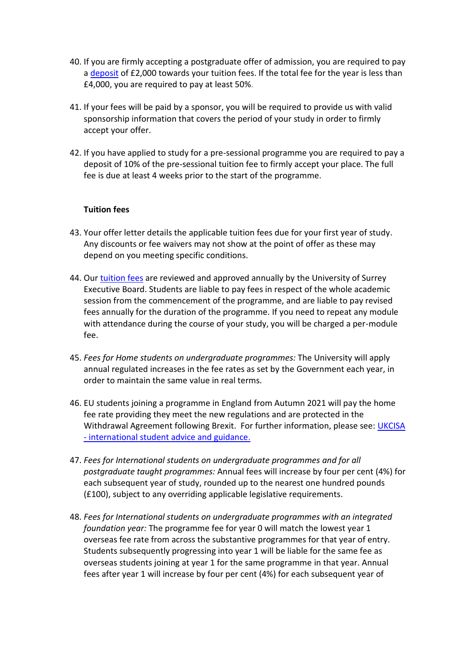- 40. If you are firmly accepting a postgraduate offer of admission, you are required to pay a [deposit](http://www.surrey.ac.uk/fees-and-funding/how-pay-your-fees) of £2,000 towards your tuition fees. If the total fee for the year is less than £4,000, you are required to pay at least 50%.
- 41. If your fees will be paid by a sponsor, you will be required to provide us with valid sponsorship information that covers the period of your study in order to firmly accept your offer.
- 42. If you have applied to study for a pre-sessional programme you are required to pay a deposit of 10% of the pre-sessional tuition fee to firmly accept your place. The full fee is due at least 4 weeks prior to the start of the programme.

### **Tuition fees**

- 43. Your offer letter details the applicable tuition fees due for your first year of study. Any discounts or fee waivers may not show at the point of offer as these may depend on you meeting specific conditions.
- 44. Our [tuition fees](https://www.surrey.ac.uk/fees-and-funding/tuition-fees) are reviewed and approved annually by the University of Surrey Executive Board. Students are liable to pay fees in respect of the whole academic session from the commencement of the programme, and are liable to pay revised fees annually for the duration of the programme. If you need to repeat any module with attendance during the course of your study, you will be charged a per-module fee.
- 45. *Fees for Home students on undergraduate programmes:* The University will apply annual regulated increases in the fee rates as set by the Government each year, in order to maintain the same value in real terms.
- 46. EU students joining a programme in England from Autumn 2021 will pay the home fee rate providing they meet the new regulations and are protected in the Withdrawal Agreement following Brexit. For further information, please see: UKCISA - [international student advice and guidance](https://www.ukcisa.org.uk/studentnews/1699/Full-information-on-HE-fee-status-for-students-starting-courses-in-England-in-Autumn-2021).
- 47. *Fees for International students on undergraduate programmes and for all postgraduate taught programmes:* Annual fees will increase by four per cent (4%) for each subsequent year of study, rounded up to the nearest one hundred pounds (£100), subject to any overriding applicable legislative requirements.
- 48. *Fees for International students on undergraduate programmes with an integrated foundation year:* The programme fee for year 0 will match the lowest year 1 overseas fee rate from across the substantive programmes for that year of entry. Students subsequently progressing into year 1 will be liable for the same fee as overseas students joining at year 1 for the same programme in that year. Annual fees after year 1 will increase by four per cent (4%) for each subsequent year of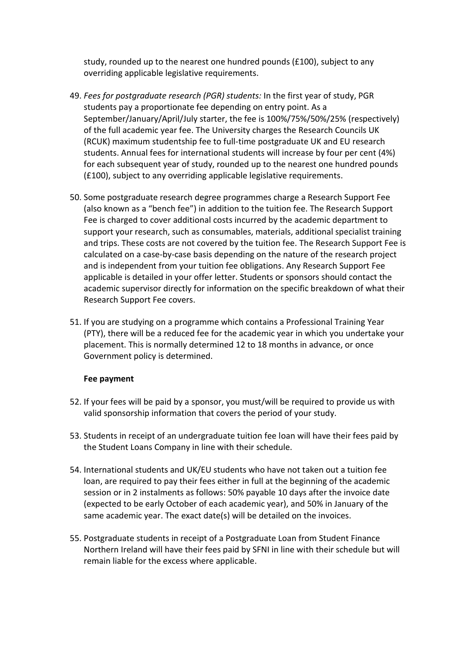study, rounded up to the nearest one hundred pounds (£100), subject to any overriding applicable legislative requirements.

- 49. *Fees for postgraduate research (PGR) students:* In the first year of study, PGR students pay a proportionate fee depending on entry point. As a September/January/April/July starter, the fee is 100%/75%/50%/25% (respectively) of the full academic year fee. The University charges the Research Councils UK (RCUK) maximum studentship fee to full-time postgraduate UK and EU research students. Annual fees for international students will increase by four per cent (4%) for each subsequent year of study, rounded up to the nearest one hundred pounds (£100), subject to any overriding applicable legislative requirements.
- 50. Some postgraduate research degree programmes charge a Research Support Fee (also known as a "bench fee") in addition to the tuition fee. The Research Support Fee is charged to cover additional costs incurred by the academic department to support your research, such as consumables, materials, additional specialist training and trips. These costs are not covered by the tuition fee. The Research Support Fee is calculated on a case-by-case basis depending on the nature of the research project and is independent from your tuition fee obligations. Any Research Support Fee applicable is detailed in your offer letter. Students or sponsors should contact the academic supervisor directly for information on the specific breakdown of what their Research Support Fee covers.
- 51. If you are studying on a programme which contains a Professional Training Year (PTY), there will be a reduced fee for the academic year in which you undertake your placement. This is normally determined 12 to 18 months in advance, or once Government policy is determined.

#### **Fee payment**

- 52. If your fees will be paid by a sponsor, you must/will be required to provide us with valid sponsorship information that covers the period of your study.
- 53. Students in receipt of an undergraduate tuition fee loan will have their fees paid by the Student Loans Company in line with their schedule.
- 54. International students and UK/EU students who have not taken out a tuition fee loan, are required to pay their fees either in full at the beginning of the academic session or in 2 instalments as follows: 50% payable 10 days after the invoice date (expected to be early October of each academic year), and 50% in January of the same academic year. The exact date(s) will be detailed on the invoices.
- 55. Postgraduate students in receipt of a Postgraduate Loan from Student Finance Northern Ireland will have their fees paid by SFNI in line with their schedule but will remain liable for the excess where applicable.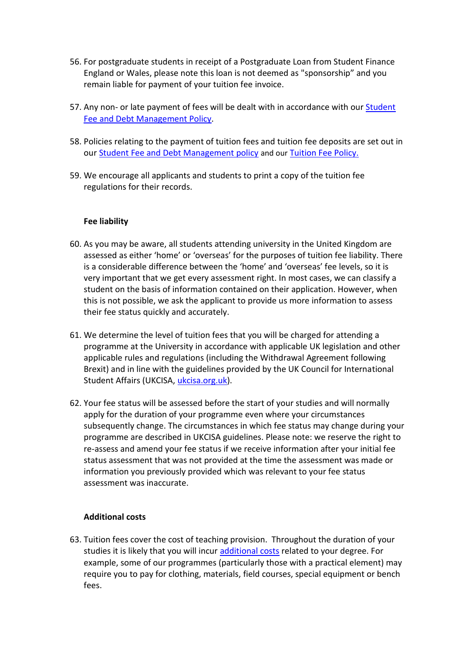- 56. For postgraduate students in receipt of a Postgraduate Loan from Student Finance England or Wales, please note this loan is not deemed as "sponsorship" and you remain liable for payment of your tuition fee invoice.
- 57. Any non- or late payment of fees will be dealt with in accordance with our Student [Fee and Debt Management Policy.](https://www.surrey.ac.uk/policies/student_fee_debt_management_policy.htm)
- 58. Policies relating to the payment of tuition fees and tuition fee deposits are set out in our [Student Fee and Debt Management policy](https://www.surrey.ac.uk/sites/default/files/2021-09/student-fee-debt-management-policy.pdf) and our [Tuition Fee Policy.](https://www.surrey.ac.uk/sites/default/files/2019-03/tuition-fee-policy-june-2018.pdf)
- 59. We encourage all applicants and students to print a copy of the tuition fee regulations for their records.

#### **Fee liability**

- 60. As you may be aware, all students attending university in the United Kingdom are assessed as either 'home' or 'overseas' for the purposes of tuition fee liability. There is a considerable difference between the 'home' and 'overseas' fee levels, so it is very important that we get every assessment right. In most cases, we can classify a student on the basis of information contained on their application. However, when this is not possible, we ask the applicant to provide us more information to assess their fee status quickly and accurately.
- 61. We determine the level of tuition fees that you will be charged for attending a programme at the University in accordance with applicable UK legislation and other applicable rules and regulations (including the Withdrawal Agreement following Brexit) and in line with the guidelines provided by the UK Council for International Student Affairs (UKCISA, [ukcisa.org.uk\)](http://www.ukcisa.org.uk/).
- 62. Your fee status will be assessed before the start of your studies and will normally apply for the duration of your programme even where your circumstances subsequently change. The circumstances in which fee status may change during your programme are described in UKCISA guidelines. Please note: we reserve the right to re-assess and amend your fee status if we receive information after your initial fee status assessment that was not provided at the time the assessment was made or information you previously provided which was relevant to your fee status assessment was inaccurate.

# **Additional costs**

63. Tuition fees cover the cost of teaching provision. Throughout the duration of your studies it is likely that you will incur [additional costs](https://www.surrey.ac.uk/fees-and-funding/tuition-fees/additional-costs) related to your degree. For example, some of our programmes (particularly those with a practical element) may require you to pay for clothing, materials, field courses, special equipment or bench fees.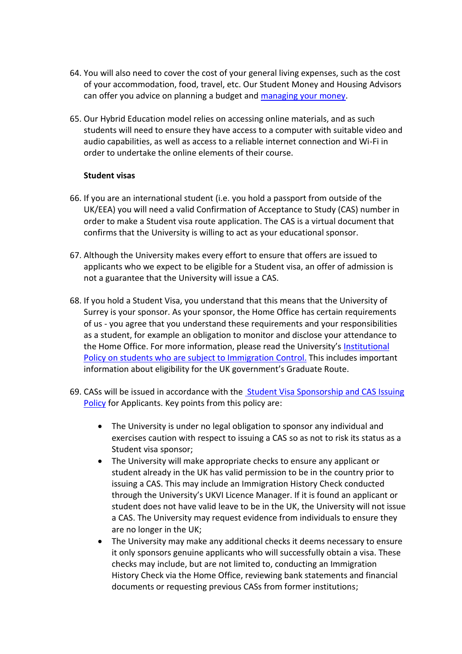- 64. You will also need to cover the cost of your general living expenses, such as the cost of your accommodation, food, travel, etc. Our Student Money and Housing Advisors can offer you advice on planning a budget and [managing your money.](https://www.surrey.ac.uk/fees-and-funding/managing-your-money)
- 65. Our Hybrid Education model relies on accessing online materials, and as such students will need to ensure they have access to a computer with suitable video and audio capabilities, as well as access to a reliable internet connection and Wi-Fi in order to undertake the online elements of their course.

### **Student visas**

- 66. If you are an international student (i.e. you hold a passport from outside of the UK/EEA) you will need a valid Confirmation of Acceptance to Study (CAS) number in order to make a Student visa route application. The CAS is a virtual document that confirms that the University is willing to act as your educational sponsor.
- 67. Although the University makes every effort to ensure that offers are issued to applicants who we expect to be eligible for a Student visa, an offer of admission is not a guarantee that the University will issue a CAS.
- 68. If you hold a Student Visa, you understand that this means that the University of Surrey is your sponsor. As your sponsor, the Home Office has certain requirements of us - you agree that you understand these requirements and your responsibilities as a student, for example an obligation to monitor and disclose your attendance to the Home Office. For more information, please read the University's [Institutional](https://visas.surrey.ac.uk/)  [Policy on students who are subject to Immigration Control](https://visas.surrey.ac.uk/)[.](https://www.surrey.ac.uk/currentstudents/visa/compliance/) This includes important information about eligibility for the UK government's Graduate Route.
- 69. CASs will be issued in accordance with the [Student Visa Sponsorship and CAS Issuing](https://www.surrey.ac.uk/apply/policies)  [Policy](https://www.surrey.ac.uk/apply/policies) for Applicants. Key points from this policy are:
	- The University is under no legal obligation to sponsor any individual and exercises caution with respect to issuing a CAS so as not to risk its status as a Student visa sponsor;
	- The University will make appropriate checks to ensure any applicant or student already in the UK has valid permission to be in the country prior to issuing a CAS. This may include an Immigration History Check conducted through the University's UKVI Licence Manager. If it is found an applicant or student does not have valid leave to be in the UK, the University will not issue a CAS. The University may request evidence from individuals to ensure they are no longer in the UK;
	- The University may make any additional checks it deems necessary to ensure it only sponsors genuine applicants who will successfully obtain a visa. These checks may include, but are not limited to, conducting an Immigration History Check via the Home Office, reviewing bank statements and financial documents or requesting previous CASs from former institutions;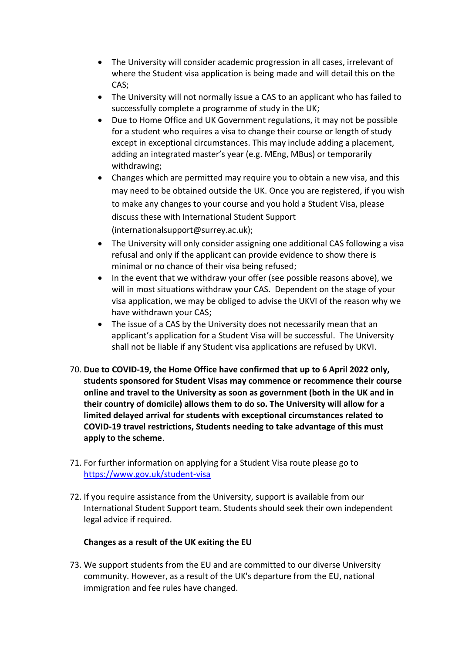- The University will consider academic progression in all cases, irrelevant of where the Student visa application is being made and will detail this on the CAS;
- The University will not normally issue a CAS to an applicant who has failed to successfully complete a programme of study in the UK;
- Due to Home Office and UK Government regulations, it may not be possible for a student who requires a visa to change their course or length of study except in exceptional circumstances. This may include adding a placement, adding an integrated master's year (e.g. MEng, MBus) or temporarily withdrawing;
- Changes which are permitted may require you to obtain a new visa, and this may need to be obtained outside the UK. Once you are registered, if you wish to make any changes to your course and you hold a Student Visa, please discuss these with International Student Support (internationalsupport@surrey.ac.uk);
- The University will only consider assigning one additional CAS following a visa refusal and only if the applicant can provide evidence to show there is minimal or no chance of their visa being refused;
- In the event that we withdraw your offer (see possible reasons above), we will in most situations withdraw your CAS. Dependent on the stage of your visa application, we may be obliged to advise the UKVI of the reason why we have withdrawn your CAS;
- The issue of a CAS by the University does not necessarily mean that an applicant's application for a Student Visa will be successful. The University shall not be liable if any Student visa applications are refused by UKVI.
- 70. **Due to COVID-19, the Home Office have confirmed that up to 6 April 2022 only, students sponsored for Student Visas may commence or recommence their course online and travel to the University as soon as government (both in the UK and in their country of domicile) allows them to do so. The University will allow for a limited delayed arrival for students with exceptional circumstances related to COVID-19 travel restrictions, Students needing to take advantage of this must apply to the scheme**.
- 71. For further information on applying for a Student Visa route please go to <https://www.gov.uk/student-visa>
- 72. If you require assistance from the University, support is available from our International Student Support team. Students should seek their own independent legal advice if required.

# **Changes as a result of the UK exiting the EU**

73. We support students from the EU and are committed to our diverse University community. However, as a result of the UK's departure from the EU, national immigration and fee rules have changed.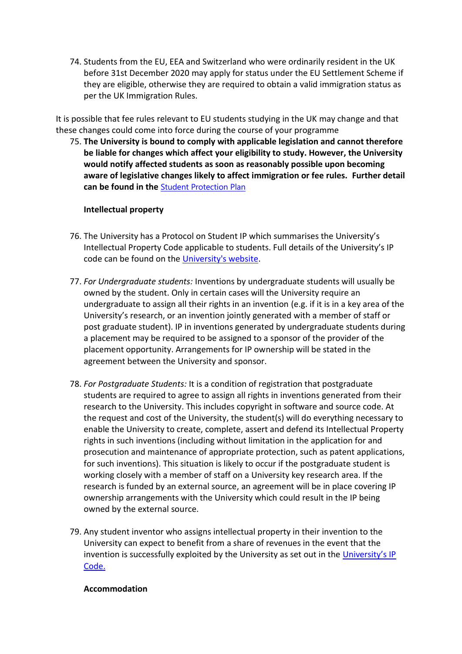74. Students from the EU, EEA and Switzerland who were ordinarily resident in the UK before 31st December 2020 may apply for status under the EU Settlement Scheme if they are eligible, otherwise they are required to obtain a valid immigration status as per the UK Immigration Rules.

It is possible that fee rules relevant to EU students studying in the UK may change and that these changes could come into force during the course of your programme

75. **The University is bound to comply with applicable legislation and cannot therefore be liable for changes which affect your eligibility to study. However, the University would notify affected students as soon as reasonably possible upon becoming aware of legislative changes likely to affect immigration or fee rules. Further detail canbe found in the <b>[Student Protection Plan](https://surrey-content.surrey.ac.uk/sites/default/files/2021-10/student-protection-plan.pdf)** 

#### **Intellectual property**

- 76. The University has a Protocol on Student IP which summarises the University's Intellectual Property Code applicable to students. Full details of the University's IP code can be found on the [University's website.](https://www.surrey.ac.uk/sites/default/files/2020-12/intellectual-property-code.pdf)
- 77. *For Undergraduate students:* Inventions by undergraduate students will usually be owned by the student. Only in certain cases will the University require an undergraduate to assign all their rights in an invention (e.g. if it is in a key area of the University's research, or an invention jointly generated with a member of staff or post graduate student). IP in inventions generated by undergraduate students during a placement may be required to be assigned to a sponsor of the provider of the placement opportunity. Arrangements for IP ownership will be stated in the agreement between the University and sponsor.
- 78. *For Postgraduate Students:* It is a condition of registration that postgraduate students are required to agree to assign all rights in inventions generated from their research to the University. This includes copyright in software and source code. At the request and cost of the University, the student(s) will do everything necessary to enable the University to create, complete, assert and defend its Intellectual Property rights in such inventions (including without limitation in the application for and prosecution and maintenance of appropriate protection, such as patent applications, for such inventions). This situation is likely to occur if the postgraduate student is working closely with a member of staff on a University key research area. If the research is funded by an external source, an agreement will be in place covering IP ownership arrangements with the University which could result in the IP being owned by the external source.
- 79. Any student inventor who assigns intellectual property in their invention to the University can expect to benefit from a share of revenues in the event that the invention is successfully exploited by the University as set out in the [University's IP](https://www.surrey.ac.uk/sites/default/files/2020-12/intellectual-property-code.pdf)  [Code.](https://www.surrey.ac.uk/sites/default/files/2020-12/intellectual-property-code.pdf)

#### **Accommodation**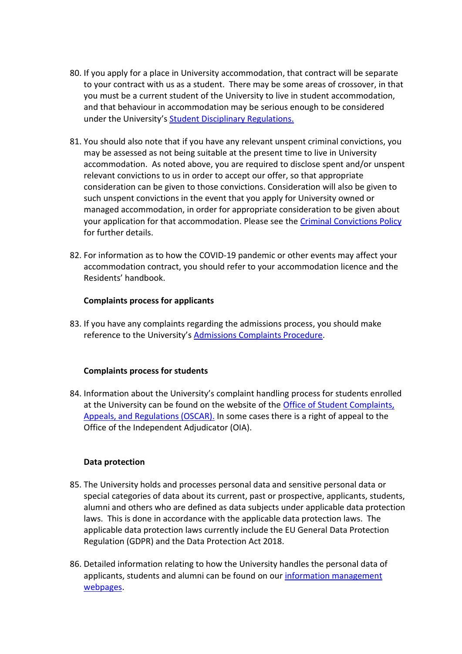- 80. If you apply for a place in University accommodation, that contract will be separate to your contract with us as a student. There may be some areas of crossover, in that you must be a current student of the University to live in student accommodation, and that behaviour in accommodation may be serious enough to be considered under the University's [Student Disciplinary Regulations.](http://www.surrey.ac.uk/oscar)
- 81. You should also note that if you have any relevant unspent criminal convictions, you may be assessed as not being suitable at the present time to live in University accommodation. As noted above, you are required to disclose spent and/or unspent relevant convictions to us in order to accept our offer, so that appropriate consideration can be given to those convictions. Consideration will also be given to such unspent convictions in the event that you apply for University owned or managed accommodation, in order for appropriate consideration to be given about your application for that accommodation. Please see the [Criminal Convictions Policy](https://www.surrey.ac.uk/sites/default/files/2021-10/criminal-convictions-policy.pdf) for further details.
- 82. For information as to how the COVID-19 pandemic or other events may affect your accommodation contract, you should refer to your accommodation licence and the Residents' handbook.

#### **Complaints process for applicants**

83. If you have any complaints regarding the admissions process, you should make reference to the University's [Admissions Complaints Procedure.](http://www.surrey.ac.uk/apply/policies/admissions-complaints-procedure)

#### **Complaints process for students**

84. Information about the University's complaint handling process for students enrolled at the University can be found on the website of the [Office of Student Complaints,](http://www.surrey.ac.uk/oscar)  [Appeals, and Regulations \(OSCAR\).](http://www.surrey.ac.uk/oscar) In some cases there is a right of appeal to the Office of the Independent Adjudicator (OIA).

#### **Data protection**

- 85. The University holds and processes personal data and sensitive personal data or special categories of data about its current, past or prospective, applicants, students, alumni and others who are defined as data subjects under applicable data protection laws. This is done in accordance with the applicable data protection laws. The applicable data protection laws currently include the EU General Data Protection Regulation (GDPR) and the Data Protection Act 2018.
- 86. Detailed information relating to how the University handles the personal data of applicants, students and alumni can be found on our [information management](https://www.surrey.ac.uk/information-management)  [webpages.](https://www.surrey.ac.uk/information-management)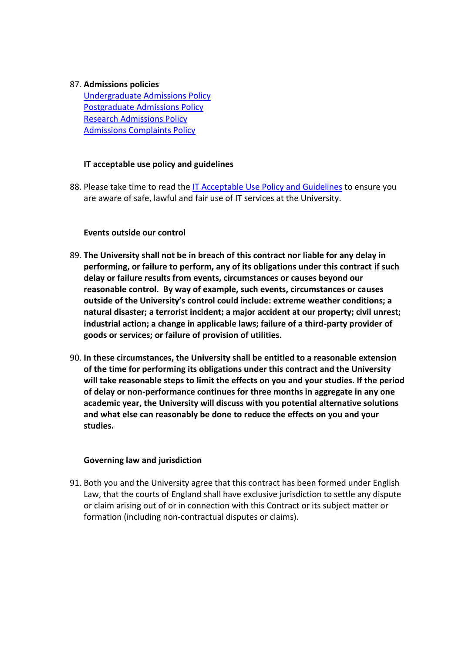### 87. **Admissions policies**

[Undergraduate Admissions Policy](http://www.surrey.ac.uk/apply/policies) [Postgraduate Admissions Policy](http://www.surrey.ac.uk/apply/policies) [Research Admissions Policy](http://www.surrey.ac.uk/apply/policies) [Admissions Complaints Policy](http://www.surrey.ac.uk/apply/policies)

# **IT acceptable use policy and guidelines**

88. Please take time to read the [IT Acceptable Use Policy and Guidelines](https://www.surrey.ac.uk/sites/default/files/2018-06/it-acceptable-use-policy-guidelines.pdf) to ensure you are aware of safe, lawful and fair use of IT services at the University.

# **Events outside our control**

- 89. **The University shall not be in breach of this contract nor liable for any delay in performing, or failure to perform, any of its obligations under this contract if such delay or failure results from events, circumstances or causes beyond our reasonable control. By way of example, such events, circumstances or causes outside of the University's control could include: extreme weather conditions; a natural disaster; a terrorist incident; a major accident at our property; civil unrest; industrial action; a change in applicable laws; failure of a third-party provider of goods or services; or failure of provision of utilities.**
- 90. **In these circumstances, the University shall be entitled to a reasonable extension of the time for performing its obligations under this contract and the University will take reasonable steps to limit the effects on you and your studies. If the period of delay or non-performance continues for three months in aggregate in any one academic year, the University will discuss with you potential alternative solutions and what else can reasonably be done to reduce the effects on you and your studies.**

#### **Governing law and jurisdiction**

91. Both you and the University agree that this contract has been formed under English Law, that the courts of England shall have exclusive jurisdiction to settle any dispute or claim arising out of or in connection with this Contract or its subject matter or formation (including non-contractual disputes or claims).